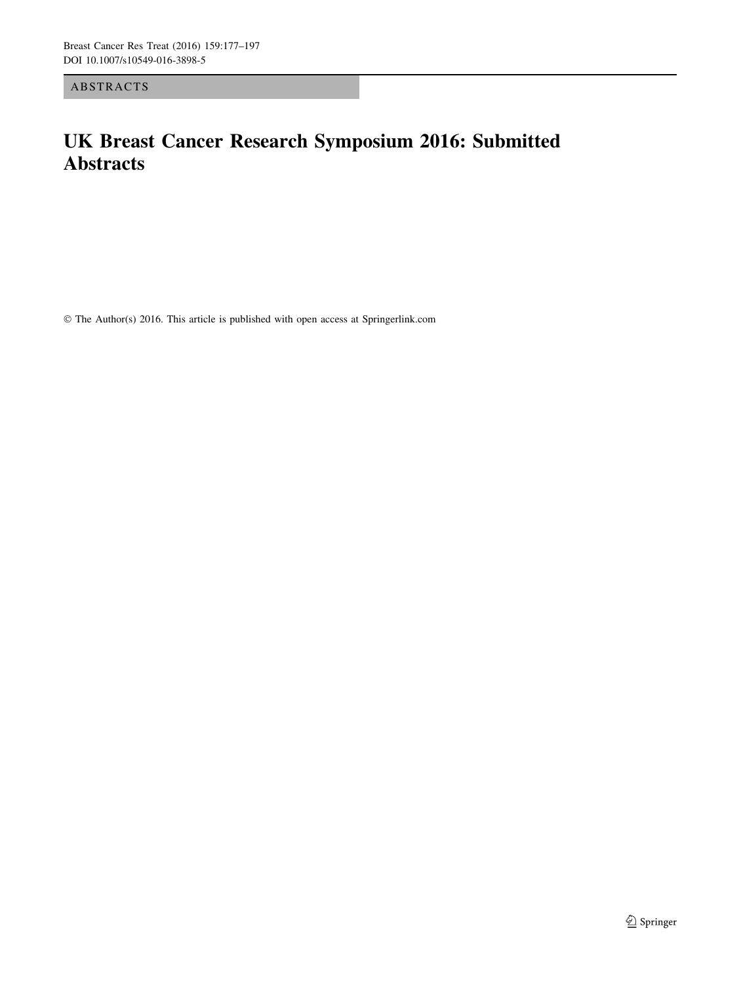ABSTRACTS

## UK Breast Cancer Research Symposium 2016: Submitted Abstracts

© The Author(s) 2016. This article is published with open access at Springerlink.com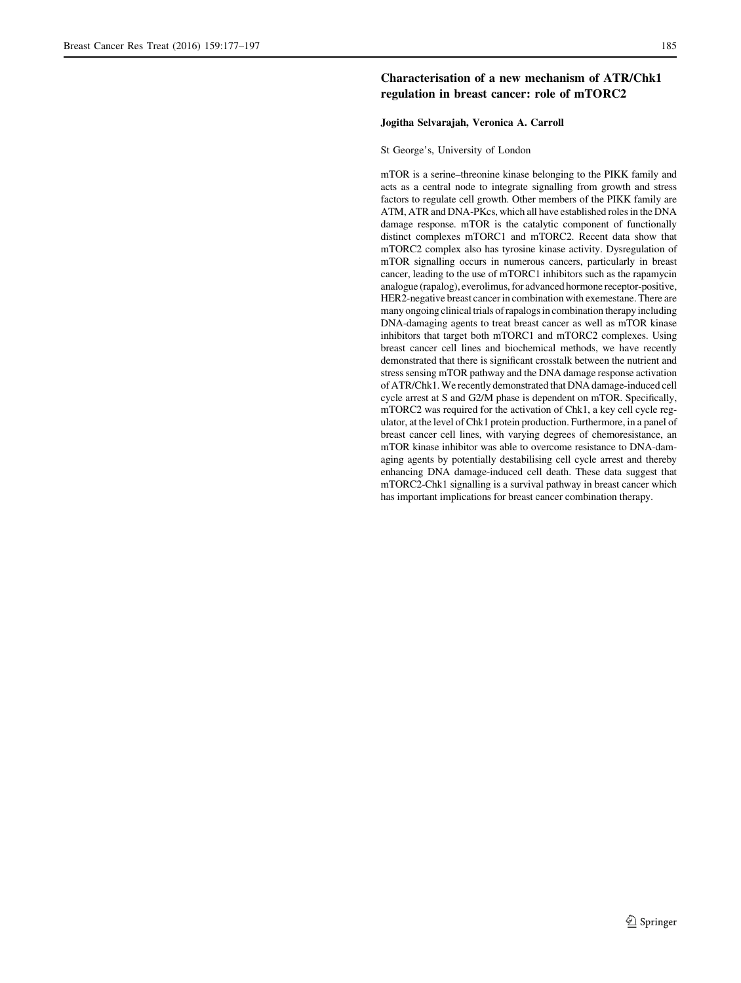## Characterisation of a new mechanism of ATR/Chk1 regulation in breast cancer: role of mTORC2

## Jogitha Selvarajah, Veronica A. Carroll

St George's, University of London

mTOR is a serine–threonine kinase belonging to the PIKK family and acts as a central node to integrate signalling from growth and stress factors to regulate cell growth. Other members of the PIKK family are ATM, ATR and DNA-PKcs, which all have established roles in the DNA damage response. mTOR is the catalytic component of functionally distinct complexes mTORC1 and mTORC2. Recent data show that mTORC2 complex also has tyrosine kinase activity. Dysregulation of mTOR signalling occurs in numerous cancers, particularly in breast cancer, leading to the use of mTORC1 inhibitors such as the rapamycin analogue (rapalog), everolimus, for advanced hormone receptor-positive, HER2-negative breast cancer in combination with exemestane. There are many ongoing clinical trials of rapalogs in combination therapy including DNA-damaging agents to treat breast cancer as well as mTOR kinase inhibitors that target both mTORC1 and mTORC2 complexes. Using breast cancer cell lines and biochemical methods, we have recently demonstrated that there is significant crosstalk between the nutrient and stress sensing mTOR pathway and the DNA damage response activation of ATR/Chk1. We recently demonstrated that DNA damage-induced cell cycle arrest at S and G2/M phase is dependent on mTOR. Specifically, mTORC2 was required for the activation of Chk1, a key cell cycle regulator, at the level of Chk1 protein production. Furthermore, in a panel of breast cancer cell lines, with varying degrees of chemoresistance, an mTOR kinase inhibitor was able to overcome resistance to DNA-damaging agents by potentially destabilising cell cycle arrest and thereby enhancing DNA damage-induced cell death. These data suggest that mTORC2-Chk1 signalling is a survival pathway in breast cancer which has important implications for breast cancer combination therapy.